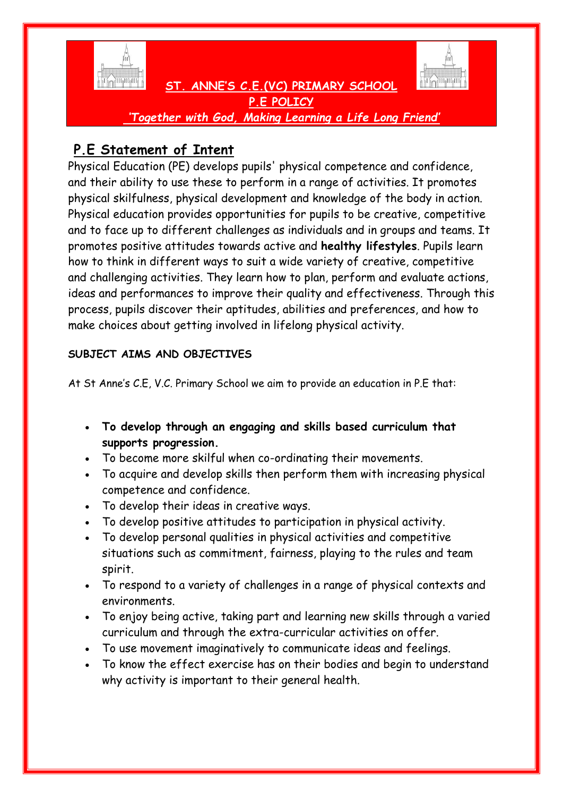



 **ST. ANNE'S C.E.(VC) PRIMARY SCHOOL P.E POLICY** *'Together with God, Making Learning a Life Long Friend'*

# **P.E Statement of Intent**

Physical Education (PE) develops pupils' physical competence and confidence, and their ability to use these to perform in a range of activities. It promotes physical skilfulness, physical development and knowledge of the body in action. Physical education provides opportunities for pupils to be creative, competitive and to face up to different challenges as individuals and in groups and teams. It promotes positive attitudes towards active and **healthy lifestyles**. Pupils learn how to think in different ways to suit a wide variety of creative, competitive and challenging activities. They learn how to plan, perform and evaluate actions, ideas and performances to improve their quality and effectiveness. Through this process, pupils discover their aptitudes, abilities and preferences, and how to make choices about getting involved in lifelong physical activity.

### **SUBJECT AIMS AND OBJECTIVES**

At St Anne's C.E, V.C. Primary School we aim to provide an education in P.E that:

- **To develop through an engaging and skills based curriculum that supports progression.**
- To become more skilful when co-ordinating their movements.
- To acquire and develop skills then perform them with increasing physical competence and confidence.
- To develop their ideas in creative ways.
- To develop positive attitudes to participation in physical activity.
- To develop personal qualities in physical activities and competitive situations such as commitment, fairness, playing to the rules and team spirit.
- To respond to a variety of challenges in a range of physical contexts and environments.
- To enjoy being active, taking part and learning new skills through a varied curriculum and through the extra-curricular activities on offer.
- To use movement imaginatively to communicate ideas and feelings.
- To know the effect exercise has on their bodies and begin to understand why activity is important to their general health.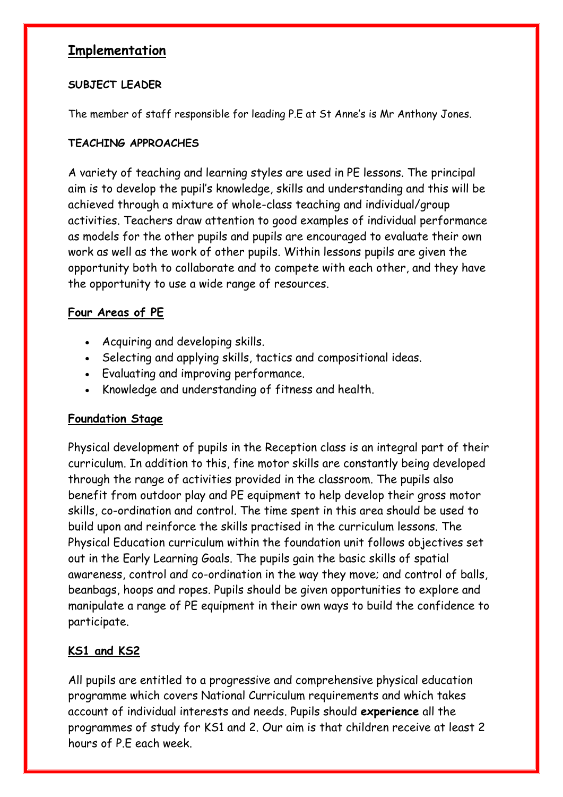## **Implementation**

#### **SUBJECT LEADER**

The member of staff responsible for leading P.E at St Anne's is Mr Anthony Jones.

#### **TEACHING APPROACHES**

A variety of teaching and learning styles are used in PE lessons. The principal aim is to develop the pupil's knowledge, skills and understanding and this will be achieved through a mixture of whole-class teaching and individual/group activities. Teachers draw attention to good examples of individual performance as models for the other pupils and pupils are encouraged to evaluate their own work as well as the work of other pupils. Within lessons pupils are given the opportunity both to collaborate and to compete with each other, and they have the opportunity to use a wide range of resources.

### **Four Areas of PE**

- Acquiring and developing skills.
- Selecting and applying skills, tactics and compositional ideas.
- Evaluating and improving performance.
- Knowledge and understanding of fitness and health.

### **Foundation Stage**

Physical development of pupils in the Reception class is an integral part of their curriculum. In addition to this, fine motor skills are constantly being developed through the range of activities provided in the classroom. The pupils also benefit from outdoor play and PE equipment to help develop their gross motor skills, co-ordination and control. The time spent in this area should be used to build upon and reinforce the skills practised in the curriculum lessons. The Physical Education curriculum within the foundation unit follows objectives set out in the Early Learning Goals. The pupils gain the basic skills of spatial awareness, control and co-ordination in the way they move; and control of balls, beanbags, hoops and ropes. Pupils should be given opportunities to explore and manipulate a range of PE equipment in their own ways to build the confidence to participate.

## **KS1 and KS2**

All pupils are entitled to a progressive and comprehensive physical education programme which covers National Curriculum requirements and which takes account of individual interests and needs. Pupils should **experience** all the programmes of study for KS1 and 2. Our aim is that children receive at least 2 hours of P.E each week.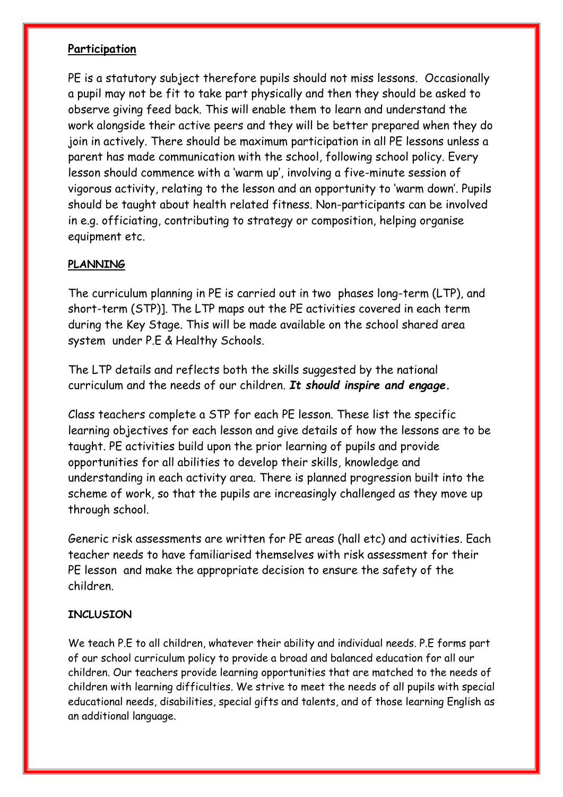#### **Participation**

PE is a statutory subject therefore pupils should not miss lessons. Occasionally a pupil may not be fit to take part physically and then they should be asked to observe giving feed back. This will enable them to learn and understand the work alongside their active peers and they will be better prepared when they do join in actively. There should be maximum participation in all PE lessons unless a parent has made communication with the school, following school policy. Every lesson should commence with a 'warm up', involving a five-minute session of vigorous activity, relating to the lesson and an opportunity to 'warm down'. Pupils should be taught about health related fitness. Non-participants can be involved in e.g. officiating, contributing to strategy or composition, helping organise equipment etc.

#### **PLANNING**

The curriculum planning in PE is carried out in two phases long-term (LTP), and short-term (STP)]. The LTP maps out the PE activities covered in each term during the Key Stage. This will be made available on the school shared area system under P.E & Healthy Schools.

The LTP details and reflects both the skills suggested by the national curriculum and the needs of our children. *It should inspire and engage.*

Class teachers complete a STP for each PE lesson. These list the specific learning objectives for each lesson and give details of how the lessons are to be taught. PE activities build upon the prior learning of pupils and provide opportunities for all abilities to develop their skills, knowledge and understanding in each activity area. There is planned progression built into the scheme of work, so that the pupils are increasingly challenged as they move up through school.

Generic risk assessments are written for PE areas (hall etc) and activities. Each teacher needs to have familiarised themselves with risk assessment for their PE lesson and make the appropriate decision to ensure the safety of the children.

#### **INCLUSION**

We teach P.E to all children, whatever their ability and individual needs. P.E forms part of our school curriculum policy to provide a broad and balanced education for all our children. Our teachers provide learning opportunities that are matched to the needs of children with learning difficulties. We strive to meet the needs of all pupils with special educational needs, disabilities, special gifts and talents, and of those learning English as an additional language.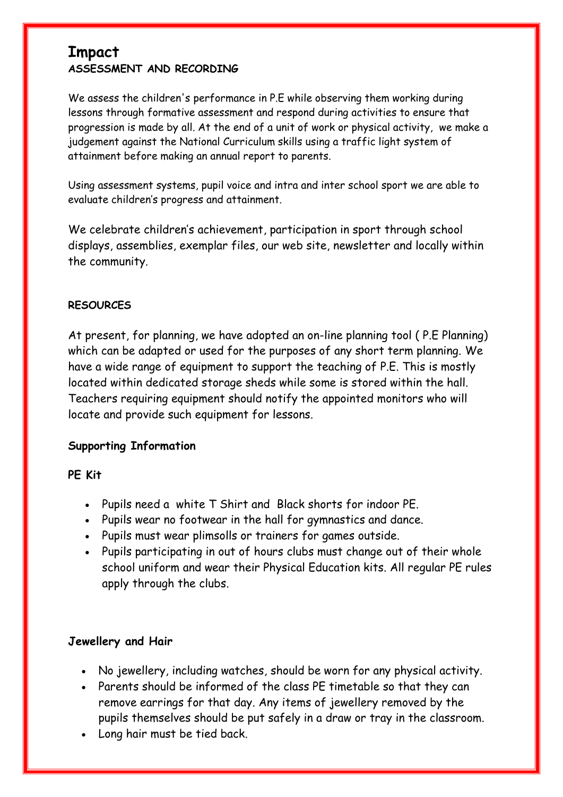## **Impact ASSESSMENT AND RECORDING**

We assess the children's performance in P.E while observing them working during lessons through formative assessment and respond during activities to ensure that progression is made by all. At the end of a unit of work or physical activity, we make a judgement against the National Curriculum skills using a traffic light system of attainment before making an annual report to parents.

Using assessment systems, pupil voice and intra and inter school sport we are able to evaluate children's progress and attainment.

We celebrate children's achievement, participation in sport through school displays, assemblies, exemplar files, our web site, newsletter and locally within the community.

#### **RESOURCES**

At present, for planning, we have adopted an on-line planning tool ( P.E Planning) which can be adapted or used for the purposes of any short term planning. We have a wide range of equipment to support the teaching of P.E. This is mostly located within dedicated storage sheds while some is stored within the hall. Teachers requiring equipment should notify the appointed monitors who will locate and provide such equipment for lessons.

#### **Supporting Information**

#### **PE Kit**

- Pupils need a white T Shirt and Black shorts for indoor PE.
- Pupils wear no footwear in the hall for gymnastics and dance.
- Pupils must wear plimsolls or trainers for games outside.
- Pupils participating in out of hours clubs must change out of their whole school uniform and wear their Physical Education kits. All regular PE rules apply through the clubs.

#### **Jewellery and Hair**

- No jewellery, including watches, should be worn for any physical activity.
- Parents should be informed of the class PE timetable so that they can remove earrings for that day. Any items of jewellery removed by the pupils themselves should be put safely in a draw or tray in the classroom.
- Long hair must be tied back.